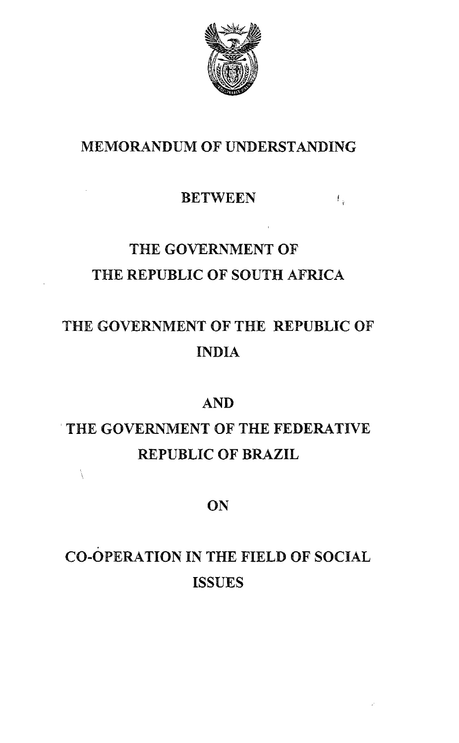

## MEMORANDUM OF UNDERSTANDING

## BETWEEN

 $E_{\rm{p}}$ 

## THE GOVERNMENT OF THE REPUBLIC OF SOUTH AFRICA

## THE GOVERNMENT OF THE REPUBLIC OF INDIA

## AND

# ;THE GOVERNMENT OF THE FEDERATIVE REPUBLIC OF BRAZIL

V

## **ON**

## CO-OPERATION IN THE FIELD OF SOCIAL ISSUES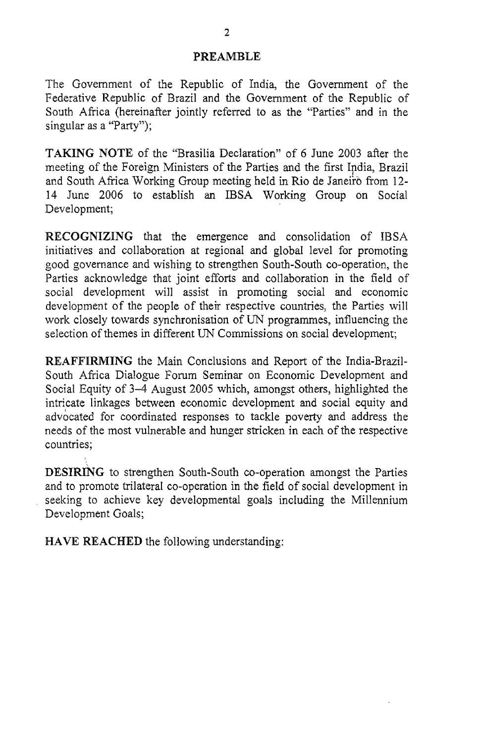#### PREAMBLE

The Government of the Republic of India, the Government of the Federative Republic of Brazil and the Government of the Republic of South Africa (hereinafter jointly referred to as the "Parties" and in the singular as a "Party");

TAKING NOTE of the "Brasilia Declaration" of 6 June 2003 after the meeting of the Foreign Ministers of the Parties and the first India, Brazil and South Africa Working Group meeting held in Rio de Janeiro from 12- 14 June 2006 to establish an IBSA Working Group on Social Development;

RECOGNIZING that the emergence and consolidation of IBSA initiatives and collaboration at regional and global level for promoting good governance and wishing to strengthen South-South co-operation, the Parties acknowledge that joint efforts and collaboration in the field of social development will assist in promoting social and economic development of the people of their respective countries, the Parties will work closely towards synchronisation of UN programmes, influencing the selection of themes in different UN Commissions on social development;

REAFFIRMING the Main Conclusions and Report of the India-Brazil-South Africa Dialogue Forum Seminar on Economic Development and Social Equity of 3-4 August 2005 which, amongst others, highlighted the intricate linkages between economic development and social equity and advocated for coordinated responses to tackle poverty and address the needs of the most vulnerable and hunger stricken in each of the respective countries;

DESIRING to strengthen South-South co-operation amongst the Parties and to promote trilateral co-operation in the field of social development in seeking to achieve key developmental goals including the Millennium Development Goals;

HAVE REACHED the following understanding: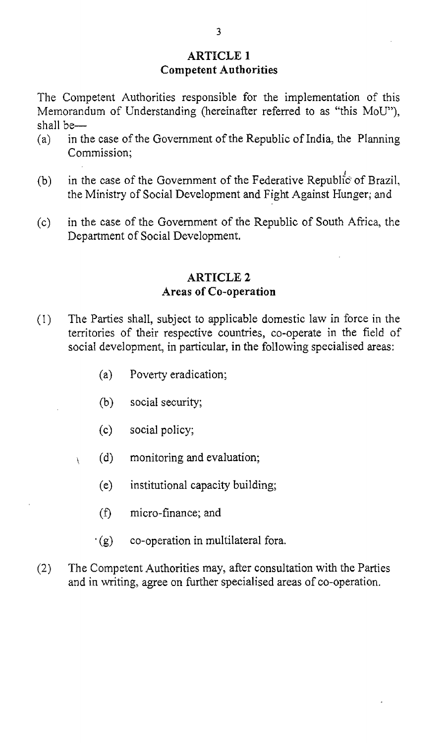## ARTICLE 1 Competent Authorities

The Competent Authorities responsible for the implementation of this Memorandum of Understanding (hereinafter referred to as "this MoU"), shall be—<br>(a) in th

- in the case of the Government of the Republic of India, the Planning Commission;
- (b) in the case of the Government of the Federative Republic of Brazil, the Ministry of Social Development and Fight Against Hunger; and
- (c) in the case of the Government of the Republic of South Africa, the Department of Social Development.

## ARTICLE 2 Areas of Co-operation

- (l) The Parties shall, subject to applicable domestic law in force in the territories of their respective countries, co-operate in the field of social development, in particular, in the following specialised areas:
	- (a) Poverty eradication;
	- (b) social security;
	- (c) social policy;
	- (d) monitoring and evaluation;
		- (e) institutional capacity building;
		- (t) micro-finance; and
		- $($ g $)$  co-operation in multilateral fora.
- (2) The Competent Authorities may, after consultation with the Parties and in writing, agree on further specialised areas of co-operation.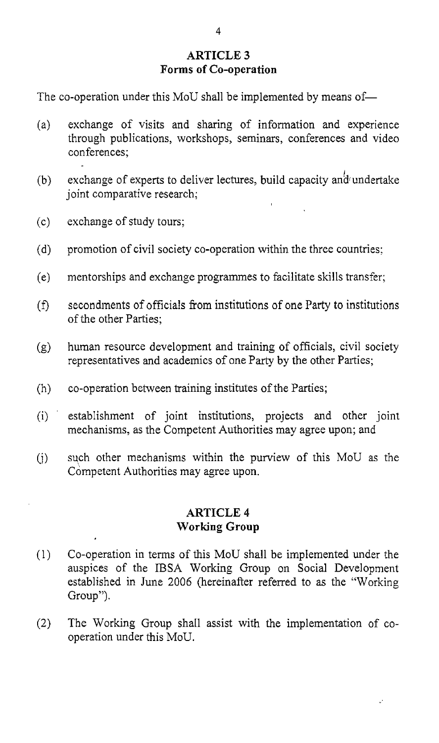## ARTICLE 3 Forms of Co-operation

The co-operation under this MoU shall be implemented by means of-

- (a) exchange of visits and sharing of information and experience through publications, workshops, seminars, conferences and video conferences;
- (b) exchange of experts to deliver lectures, build capacity and undertake joint comparative research;
- (c) exchange ofstudy tours;
- (d) promotion of civil society co-operation within the three countries;
- (e) mentorships and exchange programmes to facilitate skills transfer;
- (f) secondments of officials from institutions of one Party to institutions of the other Parties;
- (g) human resource development and training of officials, civil society representatives and academics of one Party by the other Parties;
- (h) co-operation between training institutes of the Parties;
- (i) establishment of joint institutions, projects and other joint mechanisms, as the Competent Authorities may agree upon; and
- Cj) such other mechanisms within the purview of this MoD as the Competent Authorities may agree upon.

## ARTICLE 4 Working Group

- (l) Co-operation in tenns of this MoD shall be implemented under the auspices of the IBSA Working Group on Social Development established in June 2006 (hereinafter referred to as the "Working Group").
- (2) The Working Group shall assist with the implementation of cooperation under this MoD.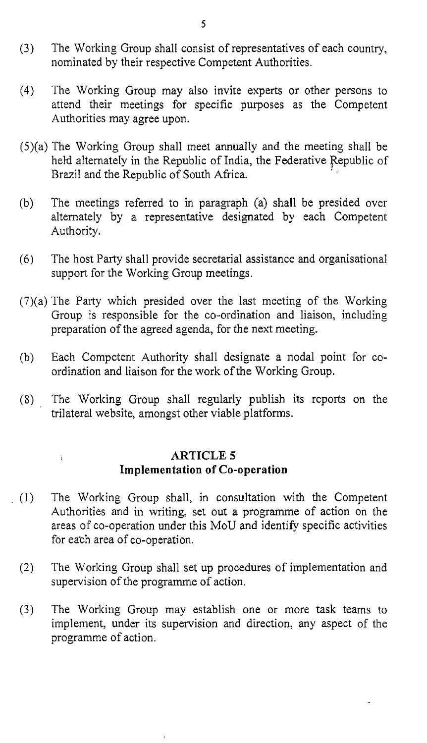- (3) The Working Group shall consist of representatives of each country, nominated by their respective Competent Authorities.
- (4) The Working Group may also invite experts or other persons to attend their meetings for specific purposes as the Competent Authorities may agree upon.
- (5)(a) The Working Group shall meet annually and the meeting shall be held alternately in the Republic of India, the Federative Republic of Brazil and the Republic of South Africa.
- (b) The meetings referred to in paragraph (a) shall be presided over alternately by a representative designated by each Competent Authority.
- (6) The host Party shall provide secretarial assistance and organisational support for the Working Group meetings.
- (7)(a) The Party which presided over the last meeting of the Working Group is responsible for the co-ordination and liaison, including preparation of the agreed agenda, for the next meeting.
- (b) Each Competent Authority shall designate a nodal point for coordination and liaison for the work of the Working Group.
- (8) The Working Group shall regularly publish its reports on the trilateral website, amongst other viable platforms.

## **ARTICLE 5 Implementation of Co-operation**

 $\bar{\chi}$ 

- . (1) The Working Group shall, in consultation with the Competent Authorities and in writing, set out a programme of action on the areas of co-operation under this MoD and identify specific activities for ea'ch area of co-operation.
	- (2) The Working Group shall set up procedures of implementation and supervision of the programme of action.
	- (3) The Working Group may establish one or more task teams to implement, under its supervision and direction, any aspect of the programme of action.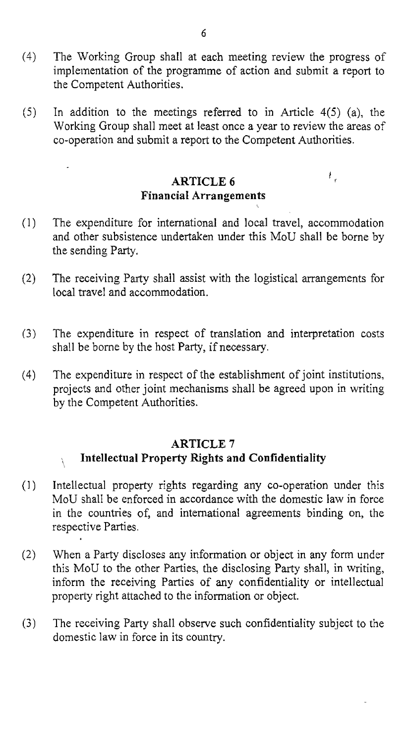- (4) The Working Group shall at each meeting review the progress of implementation of the programme of action and submit a report to the Competent Authorities.
- (5) In addition to the meetings referred to in Article 4(5) (a), the Working Group shall meet at least once a year to review the areas of co-operation and submit a report to the Competent Authorities.

## ARTICLE 6 Financial Arrangements

Ł,

- (1) The expenditure for international and local travel, accommodation and other subsistence undertaken under this MoD shall be borne by the sending Party.
- (2) The receiving Party shall assist with the logistical arrangements for local travel and accommodation.
- (3) The expenditure in respect of translation and interpretation costs shall be borne by the host Party, if necessary.
- $(4)$  The expenditure in respect of the establishment of joint institutions, projects and other joint mechanisms shall be agreed upon in writing by the Competent Authorities.

## ARTICLE 7

#### Intellectual Property Rights and Confidentiality Ŷ.

- (1) Intellectual property rights regarding any co-operation under this MoD shall be enforced in accordance with the domestic law in force in the countries of, and international agreements binding on, the respective Parties.
- (2) When a Party discloses any information or object in any form under this MoD to the other Parties, the disclosing Party shall, in writing, inform the receiving Parties of any confidentiality or intellectual property right attached to the information or object.
- (3) The receiving Party shall observe such confidentiality subject to the domestic law in force in its country.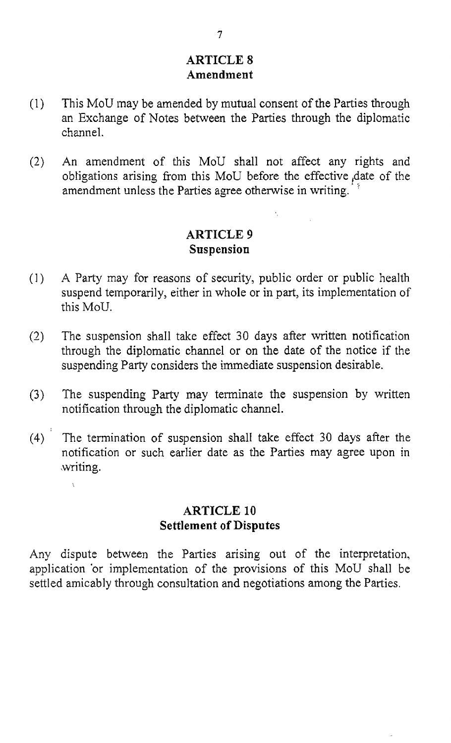## **ARTICLE 8 Amendment**

- $(1)$  This MoU may be amended by mutual consent of the Parties through an Exchange of Notes between the Parties through the diplomatic channel.
- (2) An amendment of this MoV shall not affect any rights and obtigations arising from this MoD before the effective ,date of the amendment unless the Parties agree otherwise in writing.

## ARTICLE 9 **Suspension**

- (1) A Party may for reasons of security, public order or public health suspend temporarily, either in whole or in part, its implementation of this MoU.
- (2) The suspension shall take effect 30 days after written notification through the diplomatic channel or on the date of the notice if the suspending Party considers the immediate suspension desirable.
- (3) The suspending Party may tenninate the suspension by written notification through the diplomatic channel.
- (4) The termination of suspension shall take effect 30 days after the notification or such earlier date as the Parties may agree upon in ,writing.

À.

## **ARTICLE 10 Settlement of Disputes**

Any dispute between the Parties arising out of the interpretation, application 'or implementation of the provisions of this MoD shall be settled amicably through consultation and negotiations among the Parties.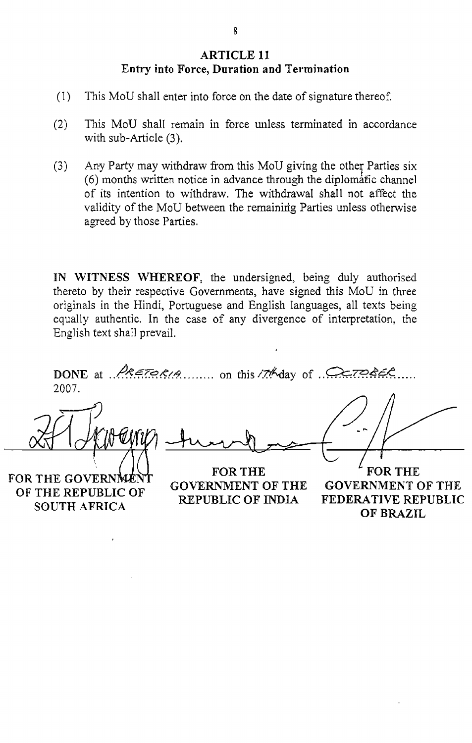### ARTICLE 11 Entry into Force, Duration and Termination

- $(1)$  This MoU shall enter into force on the date of signature thereof.
- (2) This MoU shall remain in force unless terminated in accordance with sub-Article (3).
- $(3)$  Any Party may withdraw from this MoU giving the other Parties six  $(6)$  months written notice in advance through the diplomatic channel of its intention to withdraw. The withdrawal shall not affect the validity of the MoU between the remaining Parties unless otherwise agreed by those Parties.

IN WITNESS WHEREOF, the undersigned, being duly authorised thereto by their respective Governments, have signed this MoD in three originals in the Hindi, Portuguese and English languages, all texts being equally authentic. In the case of any divergence of interpretation, the English text shall prevail.

DONE at  $\frac{P_{R,F}P_{R}P_{R}}{P_{R,F}P_{R}}$  on this  $\frac{P_{R,F}P_{R}}{P_{R}}$  of  $\frac{P_{R,F}P_{R}}{P_{R,F}P_{R}}$ 2007.

<:

FOR THE GOVERN OF THE REPUBLIC OF SOUTH AFRICA

FOR THE GOVERNMENT OF THE REPUBLIC OF INDIA

FOR THE GOVERNMENT OF THE FEDERATIVE REPUBLIC OF BRAZIL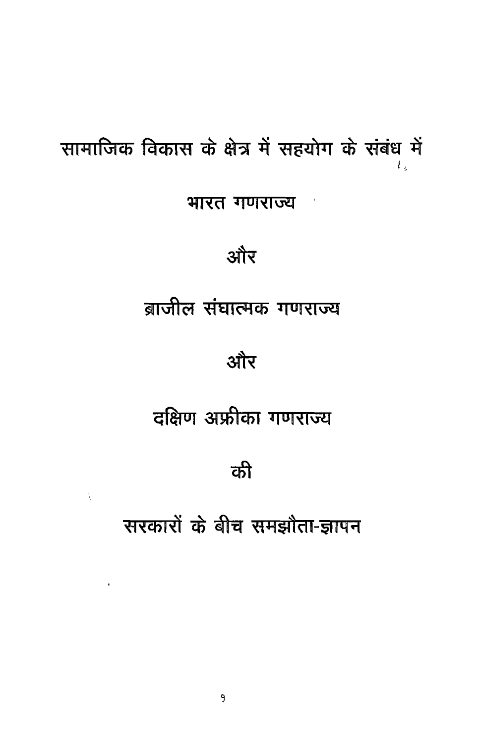## सामाजिक विकास के क्षेत्र में सहयोग के संबंध में  $t_{\infty}$

भारत गणराज्य

## और

## ब्राजील संघात्मक गणराज्य

और

## दक्षिण अफ्रीका गणराज्य

## की

Å

 $\bullet$ 

## सरकारों के बीच समझौता-ज्ञापन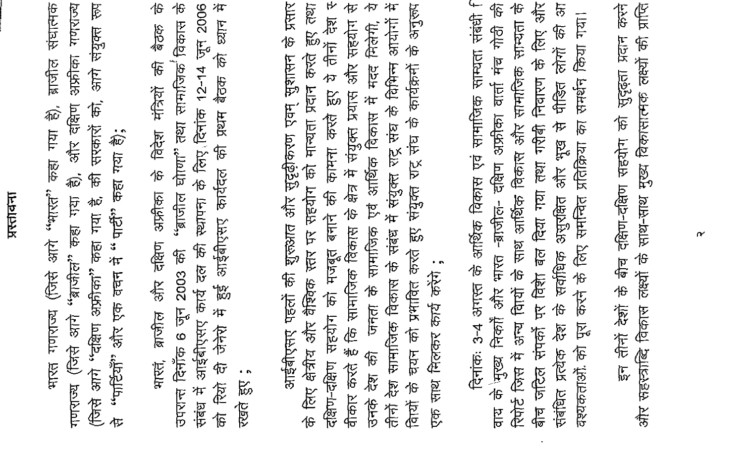गणराज्य (जिसे आगे "ब्राजील" कहा है), और दक्षिण अफ्रीका गणराज्य ब्राजील संघात्मक (जिसे आगे "दक्षिण अफ्रीका" कहा गया है, की सरकारों को, आगे संयुक्त रूप भारत गणराज्य (जिसे आले "भारत" कहा गया है), "पार्टियों" और एक वचन में " पार्टी" कहा गया है; to the fe that it will be the comparation of the comparative उपरान्त दिनोँक 6 जून 2003 की "ब्राजील घो(णां" तथा सामाजिक विकास के को रियो दी जैनेरो में हुई आईबीएसए कार्यदल की प्रथम बैठक को ध्यान में संबंध में आईबीएसए कार्य दल की स्थापना के लिए दिनांक 12-14 जून 2006 रखते हुए; आईबीएसए पहलों की शुरूआत और सुदृढ़ीकरण एवम् सुशासन के प्रसार के लिए क्षेत्रीय और वैश्विक स्तर पर सहयोग को मान्यता प्रदान करते हुए तथा दक्षिण-दक्षिण सहयोग को मजबूत बनाने की कामना करते हुए ये तीनों देश रु वीकार करते हैं कि सामाजिक विकास के क्षेत्र में संयुक्त प्रयास और सहयोग से उनके देश की जनता के सामाजिक एवं आर्थिक विकास में मदद मिलेगी, ये तीनों देश सामाजिक विकास के संबंध में संयुक्त राष्ट्र संघ के विभिन्न आयोगों में विायों के चयन को प्रभावित करते हुए संयुक्त राटू संघ के कार्यक्रमों के अनुरूप एक साथ मिलकर कार्य करेंगे; दिनांकः 3-4 अगस्त के आर्थिक विकास एवं सामाजिक साम्यता संबंधी नि वाय के मुख्य निकर्तें और भारत -ब्राजील- दक्षिण अफ्रीका वार्त्ता मंच गोठी की रिपोर्ट जिस में अन्य विकल खेळाडू के साथ के साथ में अन्य के बीच जटिल संपर्को पर विशे बल दिया गया तथा गरीबी निवारण के लिए और संबंधित प्रत्येक देश के सर्वाधिक असुरक्षित और भुख से पीड़ित लोगों की आ वश्यकताओं को पूरा करने के लिए समन्वित प्रतिक्रिया का समर्थन किया गया।

 $\sim$ 

और सहस्त्राब्दि विकास लक्ष्यों के साथ-साथ मुख्य विकासात्मक लक्ष्यों की प्रासि

इन तीनों देशों के बीच दक्षिण-दक्षिण सहयोग को सुदृढ़ता प्रदान करने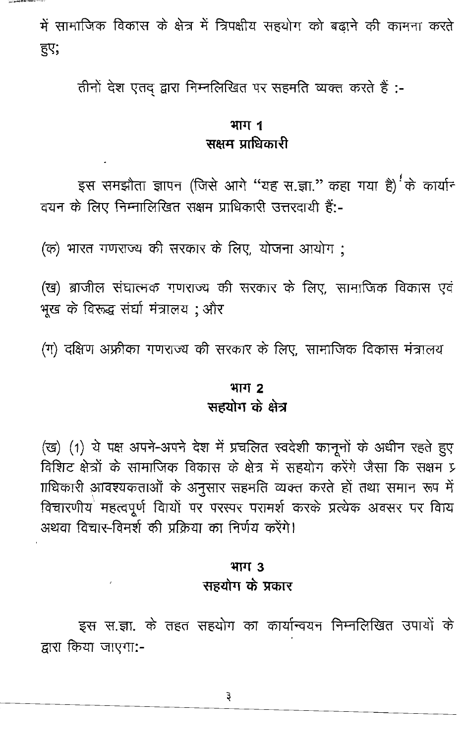में सामाजिक विकास के क्षेत्र में त्रिपक्षीय सहयोग को बढाने की कामना करते हुए;

तीनों देश एतद द्वारा निम्नलिखित पर सहमति व्यक्त करते हैं :-

## भाग 1 सक्षम प्राधिकारी

इस समझौता ज्ञापन (जिसे आगे "यह स.ज्ञा." कहा गया है) के कार्यान वयन के लिए निम्नालिखित सक्षम प्राधिकारी उत्तरदायी हैं:-

(क) भारत गणराज्य की सरकार के लिए, योजना आयोग ;

(ख) ब्राजील संघात्मक गणराज्य की सरकार के लिए, सामाजिक विकास एवं भूख के विरूद्ध संर्घा मंत्रालय ; और

(ग) दक्षिण अफ्रीका गणराज्य की सरकार के लिए, सामाजिक विकास मंत्रालय

## भाग 2 सहयोग के क्षेत्र

(ख) (1) ये पक्ष अपने-अपने देश में प्रचलित स्वदेशी कानूनों के अधीन रहते हुए विशिट क्षेत्रों के सामाजिक विकास के क्षेत्र में सहयोग करेंगे जैसा कि सक्षम प्र गधिकारी आवश्यकताओं के अनुसार सहमति व्यक्त करते हों तथा समान रूप में विचारणीय महत्वपूर्ण विायों पर परस्पर परामर्श करके प्रत्येक अवसर पर विाय अथवा विचार-विमर्श की प्रक्रिया का निर्णय करेंगे।

## भाग 3 सहयोग के प्रकार

इस स.ज्ञा. के तहत सहयोग का कार्यान्वयन निम्नलिखित उपायों के द्वारा किया जाएगा:-

३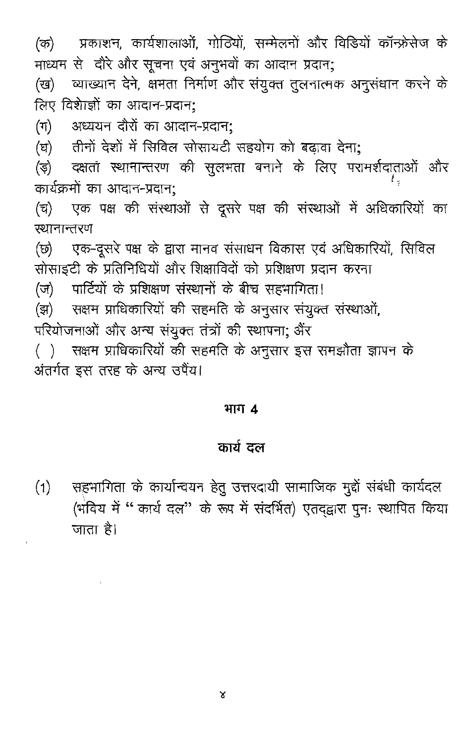प्रकाशन, कार्यशालाओं, गोठियों, सम्मेलनों और विडियों कॉन्फ्रेसेज के (ক) माध्यम से दौरे और सूचना एवं अनुभवों का आदान प्रदान;

व्याख्यान देने, क्षमता निर्माण और संयुक्त तुलनात्मक अनुसंधान करने के  $(\overline{\mathtt{cg}})$ लिए विशाज्ञों का आदान-प्रदान:

(ग) अध्ययन दौरों का आदान-प्रदान;

(घ) तीनों देशों में सिविल सोसायटी सहयोग को बढ़ावा देना;

दक्षता स्थानान्तरण की सुलभता बनाने के लिए परामर्शदाताओं और (ड़) कार्यक्रमों का आदान-प्रदान;

एक पक्ष की संस्थाओं से दूसरे पक्ष की संस्थाओं में अधिकारियों का  $(\overline{u})$ स्थानान्तरण

(छ) एक-दूसरे पक्ष के द्वारा मानव संसाधन विकास एवं अधिकारियों, सिविल सोसाइटी के प्रतिनिधियों और शिक्षाविदों को प्रशिक्षण प्रदान करना

(ज) पार्टियों के प्रशिक्षण संस्थानों के बीच सहभागिता!

(झ) सक्षम प्राधिकारियों की सहमति के अनुसार संयुक्त संस्थाओं,

परियोजनाओं और अन्य संयुक्त तंत्रों की स्थापना; और

() सक्षम प्राधिकारियों की सहमति के अनुसार इस समझौता ज्ञापन के अंतर्गत इस तरह के अन्य उपैय।

## भाग 4

## कार्य दल

सह़भागिता के कार्यान्वयन हेतु उत्तरदायी सामाजिक मुद्दों संबंधी कार्यदल  $(1)$ (भविय में " कार्य दल" के रूप में संदर्भित) एतदद्वारा पुनः स्थापित किया जाता है।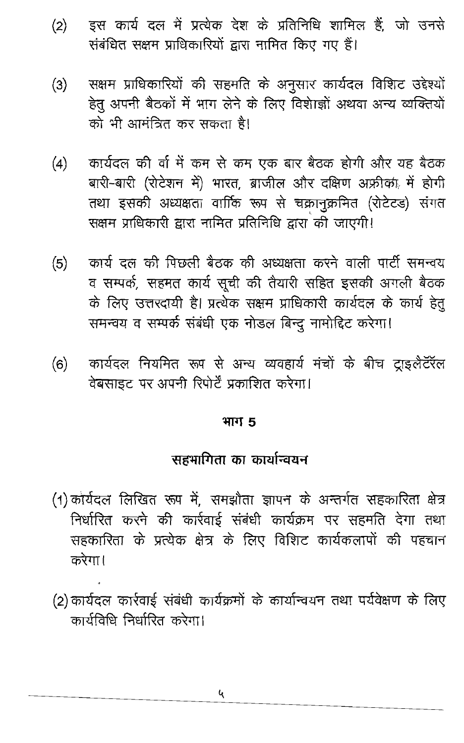- इस कार्य दल में प्रत्येक देश के प्रतिनिधि शामिल हैं. जो उनसे  $(2)$ संबंधित सक्षम प्राधिकारियों द्वारा नामित किए गए हैं।
- सक्षम प्राधिकारियों की सहमति के अनुसार कार्यदल विशिट उद्देश्यों  $\langle 3 \rangle$ हेतु अपनी बैठकों में भाग लेने के लिए विशे।ज्ञों अथवा अन्य व्यक्तियों को भी आमंत्रित कर सकता है।
- कार्यदल की वो में कम से कम एक बार बैठक होगी और यह बैठक  $(4)$ बारी-बारी (रोटेशन में) भारत, ब्राजील और दक्षिण अफ़्रीका में होगी तथा इसकी अध्यक्षता वार्कि रूप से चक्रानुक्रमित (रोटेटड) संगत सक्षम प्राधिकारी द्वारा नामित प्रतिनिधि द्वारा को जाएगी।
- कार्य दल की पिछली बैठक की अध्यक्षता करने वाली पार्टी समन्वय  $(5)$ व सम्पर्क, सहमत कार्य सूची की तैयारी सहित इसकी अगली बैठक के लिए उत्तरदायी है। प्रत्येक सक्षम प्राधिकारी कार्यदल के कार्य हेत् समन्वय व सम्पर्क संबंधी एक नोडल बिन्दु नामोद्दिट करेगा।
- कार्यदल नियमित रूप से अन्य व्यवहार्य मंचों के बीच ट्राइलैटॅरॅल  $(6)$ वेबसाइट पर अपनी रिपोर्टे प्रकाशित करेगा।

### भाग 5

## सहभागिता का कार्यान्वयन

- (1) कार्यदल लिखित रूप में, समझौता ज्ञापन के अन्तर्गत सहकारिता क्षेत्र निर्धारित करने की कार्रवाई संबंधी कार्यक्रम पर सहमति देगा तथा सहकारिता के प्रत्येक क्षेत्र के लिए विशिट कार्यकलापों की पहचान करेगा।
- (2) कार्यदल कार्रवाई संबंधी कार्यक्रमों के कार्यान्वयन तथा पर्यवेक्षण के लिए कार्यविधि निर्धारित करेगा।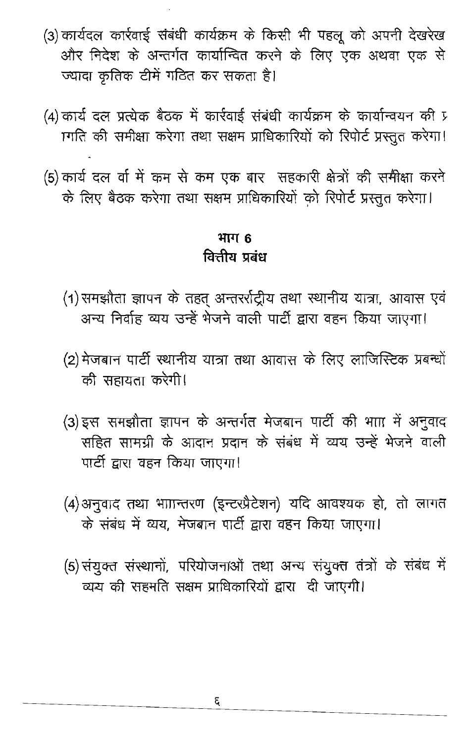- (3) कार्यदल कार्रवाई संबंधी कार्यक्रम के किसी भी पहलू को अपनी देखरेख और निदेश के अन्तर्गत कार्यान्वित करने के लिए एक अथवा एक से ज्यादा कृतिक टीमें गठित कर सकता है।
- (4) कार्य दल प्रत्येक बैठक में कार्रवाई संबंधी कार्यक्रम के कार्यान्वयन की प्र ग्गति की समीक्षा करेगा तथा सक्षम प्राधिकारियों को रिपोर्ट प्रस्तुत करेगा!
- (5) कार्य दल वों में कम से कम एक बार सहकारी क्षेत्रों की समीक्षा करने के लिए बैठक करेगा तथा सक्षम प्राधिकारियों को रिपोर्ट प्रस्तुत करेगा।

## भाग 6 वित्तीय प्रबंध

- (1) समझौता ज्ञापन के तहत् अन्तर्राष्ट्रीय तथा स्थानीय यात्रा, आवास एवं अन्य निर्वाह व्यय उन्हें भेजने वाली पार्टी द्वारा वहन किया जाएगा।
- (2) मेजबान पार्टी स्थानीय यात्रा तथा आवास के लिए लाजिस्टिक प्रबन्धों की सहायता करेगी।
- (3) इस समझौता ज्ञापन के अन्तर्गत मेजबान पार्टी की भाा में अनुवाद सहित सामग्री के आदान प्रदान के संबंध में व्यय उन्हें भेजने वाली पार्टी द्वारा वहन किया जाएगा।
- (4)अनुवाद तथा भाान्तरण (इन्टरप्रैटेशन) यदि आवश्यक हो, तो लागत के संबंध में व्यय, मेजबान पार्टी द्वारा वहन किया जाएगा।
- (5)संयुक्त संस्थानों, परियोजनाओं तथा अन्य संयुक्त तंत्रों के संबंध में व्यय की सहमति सक्षम प्राधिकारियों द्वारा दी जाएगी।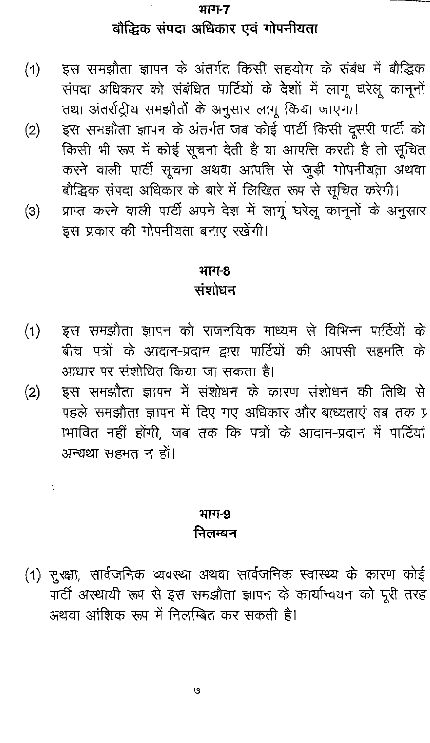## भाग-7 बौद्धिक संपदा अधिकार एवं गोपनीयता

- इस समझौता ज्ञापन के अंतर्गत किसी सहयोग के संबंध में बौद्धिक  $(1)$ संपदा अधिकार को संबंधित पार्टियों के देशों में लागू घरेलू कानूनों तथा अंतर्राट्रीय समझौतों के अनुसार लागू किया जाएगा!
- इस समझौता ज्ञापन के अंतर्गत जब कोई पार्टी किसी दूसरी पार्टी को  $(2)$ किसी भी रूप में कोई सूचना देती है या आपत्ति करती है तो सूचित करने वाली पार्टी सूचना अथवा आपत्ति से जुड़ी गोपनीयता अथवा बौद्धिक संपदा अधिकार के बारे में लिखित रूप से सूचित करेगी। प्राप्त करने वाली पार्टी अपने देश में लागू घरेलू कानूनों के अनुसार  $(3)$ 
	- इस प्रकार की गोपनीयता बनाए रखेंगी।

 $\Lambda$ 

## भाग-8 संशोधन

- इस समझौता ज्ञापन को राजनयिक माध्यम से विभिन्न पार्टियों के  $(1)$ बीच पत्रों के आदान-प्रदान द्वारा पार्टियों की आपसी सहमति के आधार पर संशोधित किया जा सकता है।
- $(2)$ इस समझौता ज्ञापन में संशोधन के कारण संशोधन की तिथि से पहले समझौता ज्ञापन में दिए गए अधिकार और बाध्यताएं तब तक प्र श्मावित नहीं होंगी, जब तक कि पत्रों के आदान-प्रदान में पार्टियां अन्यथा सहमत न हो।

## भाग-9 निलम्बन

(1) सुरक्षा, सार्वजनिक व्यवस्था अथवा सार्वजनिक स्वास्थ्य के कारण कोई पार्टी अस्थायी रूप से इस समझौता ज्ञापन के कार्यान्वयन को पूरी तरह अथवा आंशिक रूप में निलम्बित कर सकती है।

U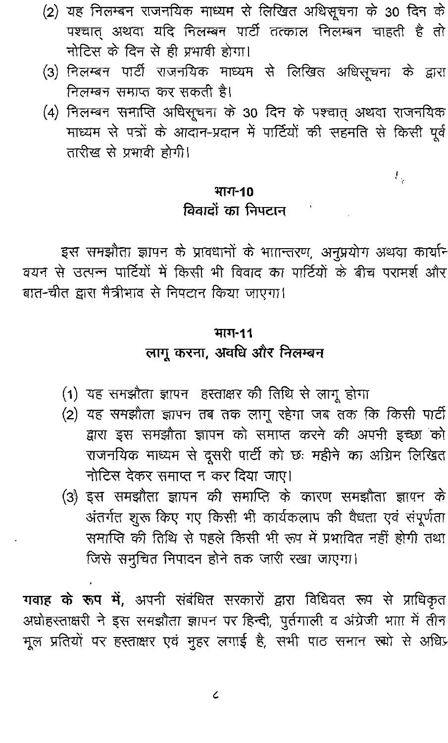- (2) यह निलम्बन राजनयिक माध्यम से लिखित अधिसूचना के 30 दिन के पश्चात् अथवा यदि निलम्बन पार्टी तत्काल निलम्बन चाहती है तो नोटिस के दिन से ही प्रभावी होगा।
- (3) निलम्बन पार्टी राजनयिक माध्यम से लिखित अधिसूचना के द्वारा निलम्बन समाप्त कर सकती है।
- (4) निलम्बन समाप्ति अधिसूचना के 30 दिन के पश्चात् अथवा राजनयिक माध्यम से पत्रों के आदान-प्रदान में पार्टियों की सहमति से किसी पूर्व तारीख से प्रभावी होगी।

 $E_{\rm g}$ 

## भाग-10 विवादों का निपटान

इस समझौता ज्ञापन के प्रावधानों के भाान्तरण, अनुप्रयोग अथवा कार्यान वयन से उत्पन्न पार्टियों में किसी भी विवाद का पार्टियों के बीच परामर्श और बात-चीत द्वारा मैत्रीभाव से निपटान किया जाएगा।

## भाग-11 लागू करना, अवधि और निलम्बन

- (1) यह समझौता ज्ञायन हस्ताक्षर की तिथि से लागू होगा
- (2) यह समझौता ज्ञापन तब तक लागू रहेगा जब तक कि किसी पार्टी द्वारा इस समझौता ज्ञापन को समाप्त करने की अपनी इच्छा को राजनयिक माध्यम से दूसरी पार्टी को छः महीने का अग्रिम लिखित नोटिस देकर समाप्त न कर दिया जाए।
- (3) इस समझौता ज्ञायन की समाप्ति के कारण समझौता ज्ञायन के अंतर्गत शुरू किए गए किसी भी कार्यकलाप की वैधता एवं संपूर्णता समाप्ति की तिथि से पहले किसी भी रूप में प्रभावित नहीं होगी तथा जिसे समुचित निपादन होने तक जारी रखा जाएगा।

गवाह के रूप में, अपनी संबंधित सरकारों द्वारा विधिवत रूप से प्राधिकृत अधोहस्ताक्षरी ने इस समझौता ज्ञापन पर हिन्दी, पुर्तगाली व अंग्रेजी भाग में तीन मूल प्रतियों पर हस्ताक्षर एवं मुहर लगाई है, सभी पाठ समान स्बो से अधिप्र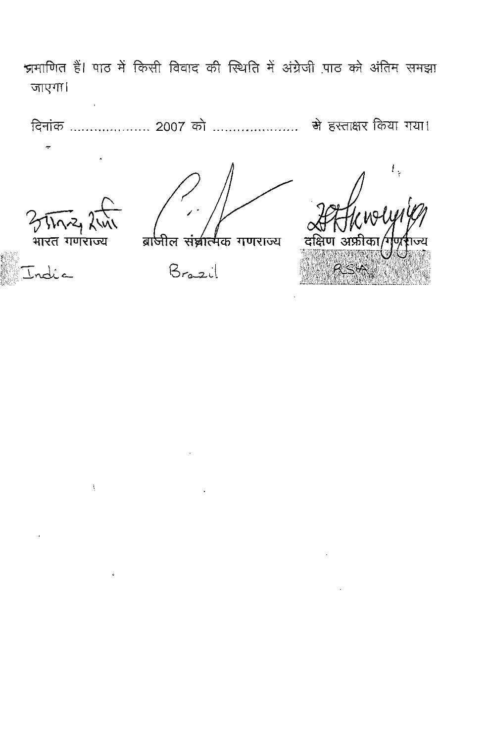भ्रमाणित हैं। पाठ में किसी विवाद की स्थिति में अंग्रेजी पाठ को अंतिम समझा जाएगा।

 $\sim 10$ 

 $\hat{\mathbf{V}}$ 

दिनांक ................... 2007 को ....................... मे हस्ताक्षर किया गया। ब्राजील संब्रात्मक गणराज्य भारत गणराज्य दक्षिण अफ्रीक Brazil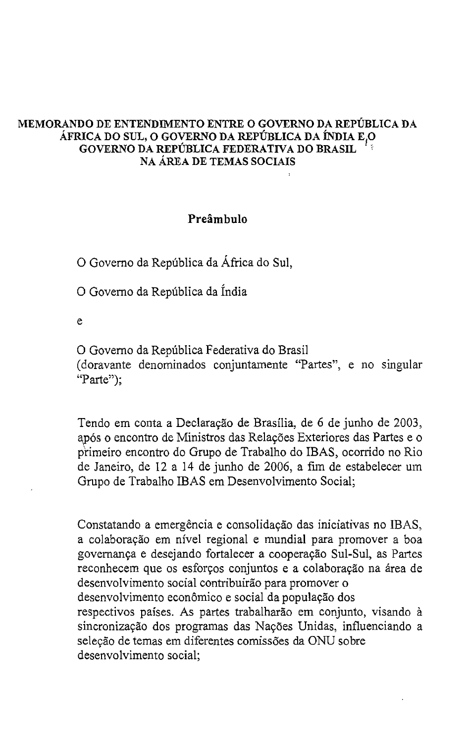#### MEMORANDO DE ENTENDIMENTO ENTRE 0 GOVERNO DA REPUBLICA DA AFRICA DO SUL,O GOyERNO DA REPUBLICA DA iNDIA *Ep* GOVERNO DA REPUBLICA FEDERATIVA DO BRASIL \, NA ÁREA DE TEMAS SOCIAIS

#### Preâmbulo

a Governo da Republica da Africa do SuI,

O Governo da República da Índia

e

a Govemo da Republica Federativa do Brasil (doravante denominados conjuntamente "Partes", e no singular "Parte");

Tendo em conta a Declaração de Brasília, de 6 de junho de 2003, após o encontro de Ministros das Relações Exteriores das Partes e o p'rimeiro encontro do Grupo de Trabalho do IBAS, ocorrido no Rio de Janeiro, de 12 a 14 de junho de 2006, a tim de estabelecer um Grupo de Trabalho IBAS em Desenvolvimento Social;

Constatando a emergência e consolidação das iniciativas no IBAS, a colaboração em nível regional e mundial para promover a boa governança e desejando fortalecer a cooperação Sul-Sul, as Partes reconhecem que os esforços conjuntos e a colaboração na área de desenvolvimento social contribuirão para promover o desenvolvimento econômico e social da população dos respectivos países. As partes trabalharão em conjunto, visando à sincronização dos programas das Nações Unidas, influenciando a seleção de temas em diferentes comissões da ONU sobre desenvolvimento social;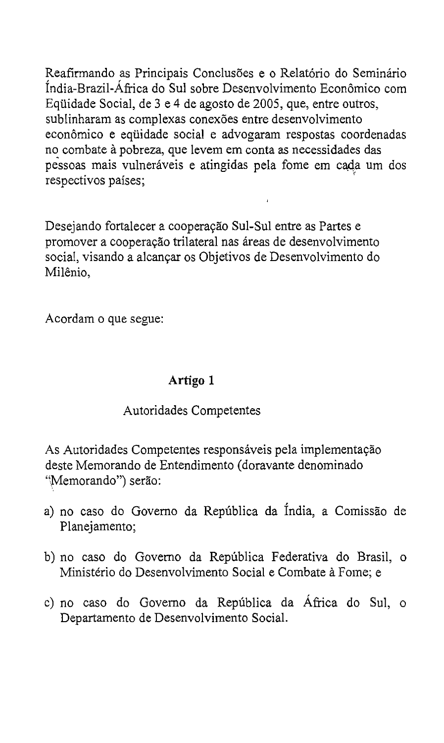Reafirmando as Principais Conclusões e o Relatório do Seminário India-Brazil-Africa do SuI sobre Desenvolvimento Economico com Equidade Social, de 3 e 4 de agosto de 2005, que, entre outros, sublinharam as complexas conex6es entre desenvolvimento econômico e equidade social e advogaram respostas coordenadas no combate à pobreza, que levem em conta as necessidades das pessoas mais vulneráveis e atingidas pela fome em cada um dos respectivos países;

Desejando fortalecer a cooperação Sul-Sul entre as Partes e promover a cooperação trilateral nas áreas de desenvolvimento social, visando a alcançar os Objetivos de Desenvolvimento do Milenio,

Acordam <sup>0</sup> que segue:

## **Artigo 1**

## Autoridades Competentes

As Autoridades Competentes responsáveis pela implementação deste Memorando de Entendimento (doravante denominado "Memorando") serão:

- a) no caso do Govemo da Republica da India, a Comissao de Planejamento;
- b) no caso do Govemo da Republica Federativa do Brasil, <sup>0</sup> Ministério do Desenvolvimento Social e Combate à Fome; e
- c) no caso do Govemo da Republica da Africa do SuI, <sup>0</sup> Departamento de Desenvolvimento Social.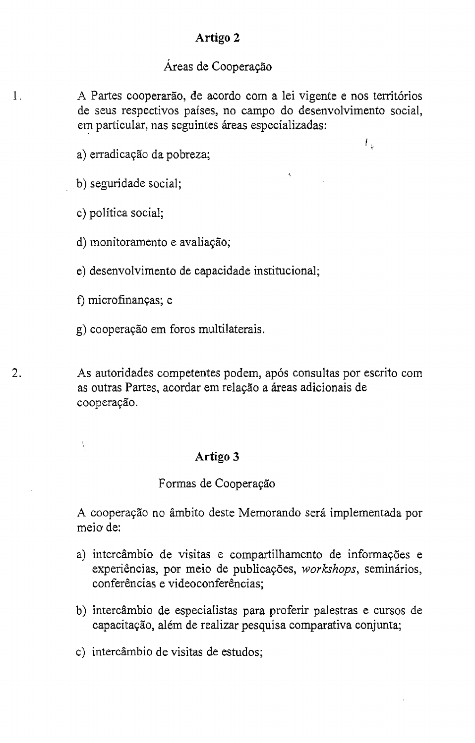#### **Artigo 2**

## Áreas de Cooperação

A Partes cooperarao, de acordo com a lei vigente enos territorios de seus respectivos paises, no campo do desenvolvimento social, em particular, nas seguintes areas especializadas:

 $L_{\nu}$ 

a) erradicação da pobreza;

b) seguridade social;

c) politica social;

1.

2.

d) monitoramento e avaliação;

e) desenvolvimento de capacidade institucional;

f) microfinanças; e

Ň,

g) cooperação em foros multilaterais.

As autoridades competentes podem, após consultas por escrito com as outras Partes, acordar em relação a áreas adicionais de cooperação.

#### **Artigo 3**

#### Formas de Cooperação

A cooperação no âmbito deste Memorando será implementada por meia de:

- a) intercâmbio de visitas e compartilhamento de informações e experiências, por meio de publicações, *workshops*, seminários, conferências e videoconferências;
- b) intercambio de especialistas para proferir palestras e cursos de capacitação, além de realizar pesquisa comparativa conjunta;

c) intercâmbio de visitas de estudos;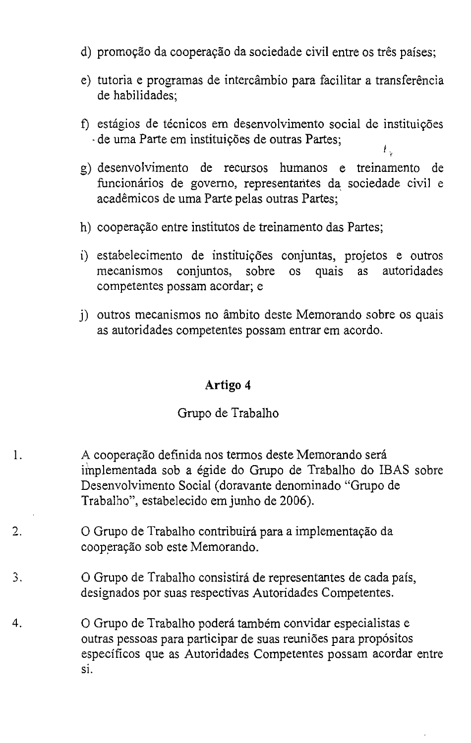- d) promoção da cooperação da sociedade civil entre os três países;
- e) tutoria e programas de intercambio para facilitar a transferencia de habilidades;
- $t_{\scriptscriptstyle\odot}$ f) estágios de técnicos em desenvolvimento social de instituições · de uma Parte em instituições de outras Partes;
- g) desenvolvimento de recursos humanos e treinamento de funcionários de governo, representantes da sociedade civil e acadêmicos de uma Parte pelas outras Partes;
- h) cooperação entre institutos de treinamento das Partes;
- i) estabelecimento de instituições conjuntas, projetos e outros rnecanismos conjuntos, sobre competentes possam acordar; e os quais as autoridades
- j) outros mecanismos no âmbito deste Memorando sobre os quais as autoridades competentes possam entrar em acordo.

#### **Artigo 4**

#### Grupo de Trabalho

1.

2.

3.

- A cooperação definida nos termos deste Memorando será implementada sob a égide do Grupo de Trabalho do IBAS sobre Desenvolvimento Social (doravante denominado "Grupo de Trabalho", estabelecido emjunho de 2006).
- O Grupo de Trabalho contribuirá para a implementação da cooperação sob este Memorando.
- o Grupo de Trabalho consistira de representantes de cada pais, designados por suas respectivas Autoridades Competentes.
- 4. O Grupo de Trabalho poderá também convidar especialistas e outras pessoas para participar de suas reuniões para propósitos especificos que as Autoridades Competentes possam acordar entre S1.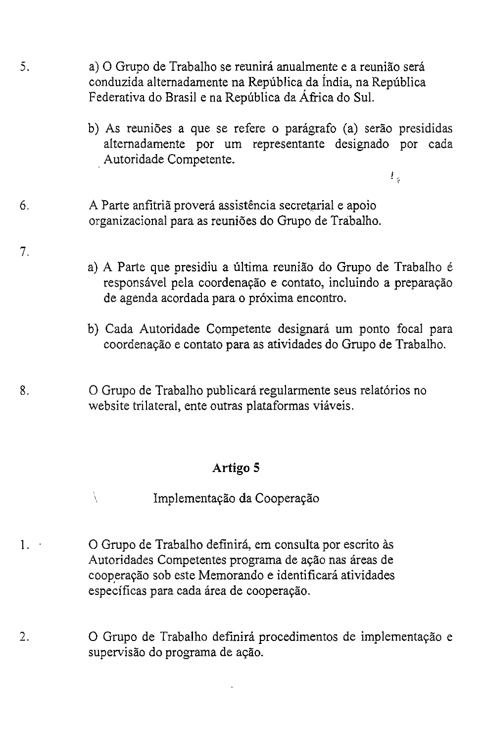a) O Grupo de Trabalho se reunirá anualmente e a reunião será conduzida alternadamente na Republica da India, na Republica Federativa do Brasil e na Republica da Africa do SuI.

5.

6.

7.

b) As reuniões a que se refere o parágrafo (a) serão presididas alternadamente por um representante designado por cada Autoridade Competente.

 $F_{\rm g}$ 

A Parte anfitriã proverá assistência secretarial e apoio organizacional para as reunioes do Grupo de Trabalho.

- a) A Parte que presidiu a última reunião do Grupo de Trabalho é responsável pela coordenação e contato, incluindo a preparação de agenda acordada para o próxima encontro.
- b) Cada Autoridade Competente designará um ponto focal para coordenayao e contato para as atividades do Grupo de Trabalho.
- 8. o Grupo de Trabalho publicara regulannente seus relat6rios no website trilateral, ente outras plataformas viaveis.

## **Artigo 5**

Implementação da Cooperação

 $\hat{\lambda}$ 

- 1. O Grupo de Trabalho definirá, em consulta por escrito às Autoridades Competentes programa de ação nas áreas de cooperayao sob este Memorando e identificara atividades específicas para cada área de cooperação.
- 2. 0 Grupo de Trabalho defmira procedimentos de implementayao e supervisão do programa de ação.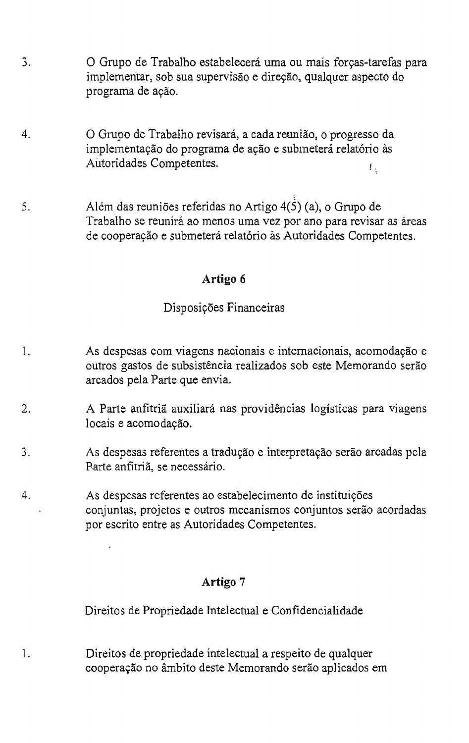- .., J. O Grupo de Trabalho estabelecerá uma ou mais forças-tarefas para implementar, sob sua supervisão e direção, qualquer aspecto do programa de ação.
- 4. o Grupo de Trabalho revisara, a cada reuniao, <sup>0</sup> progresso da implementação do programa de ação e submeterá relatório às Autoridades Competentes.
- 5. Além das reuniões referidas no Artigo 4(5) (a), o Grupo de Trabalho se reunirá ao menos uma vez por ano para revisar as áreas de cooperação e submeterá relatório às Autoridades Competentes.

## **Artigo 6**

## Disposições Financeiras

- 1. As despesas com viagens nacionais e internacionais, acomodação e outros gastos de subsistência realizados sob este Memorando serão arcados pela Parte que envia.
- 2. A Parte anfitriã auxiliará nas providências logísticas para viagens locais e acomodação.
- .., J. As despesas referentes a tradução e interpretação serão arcadas pela Parte anfitriã, se necessário.

4.

As despesas referentes ao estabelecimento de instituições conjuntas, projetos e outros mecanismos conjuntos serao acordadas por escrito entre as Autoridades Competentes.

## **Artigo 7**

Direitos de Propriedade Intelectual e Confidencialidade

1. Direitos de propriedade intelectual a respeito de qualquer cooperação no âmbito deste Memorando serão aplicados em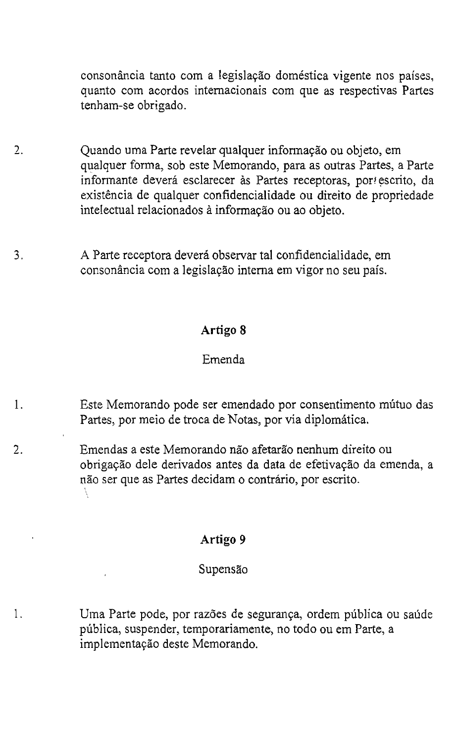consonância tanto com a legislação doméstica vigente nos países, quanta com acordos intemacionais com que as respectivas Partes tenham-se obrigado.

- 2. Quando uma Parte revelar qualquer informação ou objeto, em qualquer forma, sob este Memorando, para as outras Partes, a Parte informante deverá esclarecer às Partes receptoras, por escrito, da existência de qualquer confidencialidade ou direito de propriedade intelectual relacionados à informação ou ao objeto.
- 3. A Parte receptora deveni observar tal confidencialidade, em consonância com a legislação interna em vigor no seu país.

### **Artigo 8**

#### Emenda

- 1. Este Memorando pode ser emendado por consentimento mutuo das Partes, por meio de troca de Notas, por via diplomática.
	- Emendas a este Memorando nao afetarao nenhum direito ou obrigação dele derivados antes da data de efetivação da emenda, a não ser que as Partes decidam o contrário, por escrito. À.

2.

1.

### **Artigo 9**

#### Supensao

Uma Parte pode, por razões de segurança, ordem pública ou saúde publica, suspender, temporariamente, no todo ou em Parte, a implementação deste Memorando.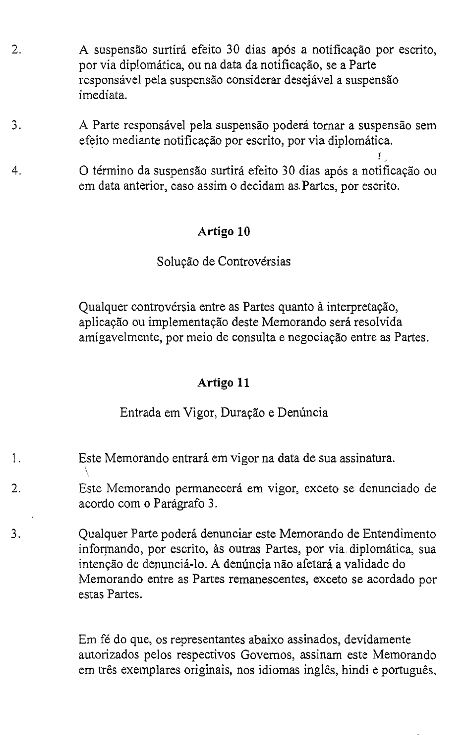- 2. A suspensão surtirá efeito 30 dias após a notificação por escrito, por via diplomática, ou na data da notificação, se a Parte responsável pela suspensão considerar desejável a suspensão imediata.
- .., J. A Parte responsavel pela suspensao podera tomar a suspensao sem efeito mediante notificação por escrito, por via diplomática.
- 4. O término da suspensão surtirá efeito 30 dias após a notificação ou em data anterior, caso assim <sup>0</sup> decidam as, Partes, por escrito.

## **Artigo 10**

#### Solução de Controvérsias

Qualquer controvérsia entre as Partes quanto à interpretação, aplicação ou implementação deste Memorando será resolvida amigavelmente, por meio de consulta e negociação entre as Partes.

#### **Artigo 11**

## Entrada em Vigor, Duração e Denúncia

Este Memorando entrará em vigor na data de sua assinatura.

1.

2.

3.

Este Memorando permanecerá em vigor, exceto se denunciado de acordo com o Parágrafo 3.

Qualquer Parte poderá denunciar este Memorando de Entendimento informando, por escrito, às outras Partes, por via diplomática, sua intenção de denunciá-lo. A denúncia não afetará a validade do Memorando entre as Partes remanescentes, exceto se acordado por estas Partes.

> Em fé do que, os representantes abaixo assinados, devidamente autorizados pelos respectivos Govemos, assinam este Memorando em três exemplares originais, nos idiomas inglês, hindi e português,